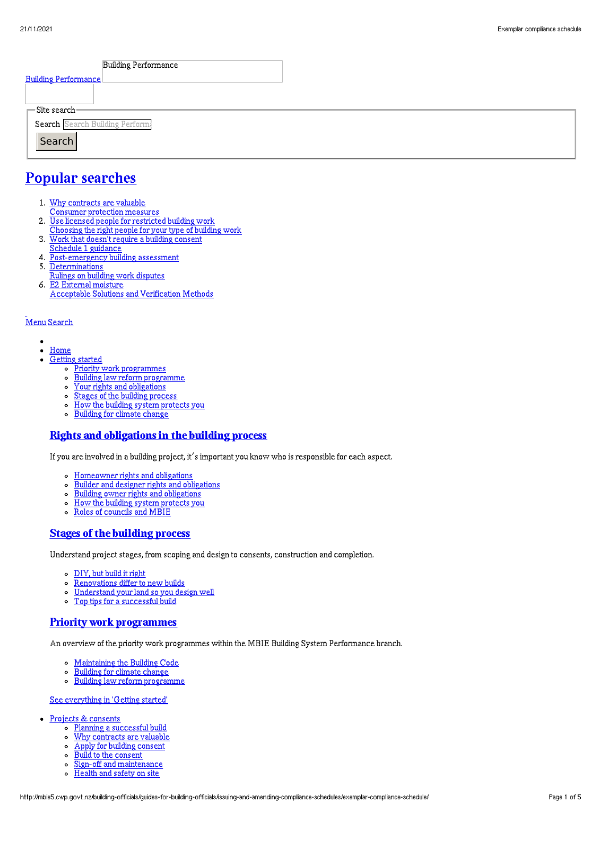| <b>Building Performance</b>     |  |
|---------------------------------|--|
| <b>Building Performance</b>     |  |
|                                 |  |
| $\Gamma$ Site search-           |  |
| Search Search Building Perform: |  |
| Search                          |  |
|                                 |  |

# Popular [searches](http://mbie5.cwp.govt.nz/#)

- 1. Why contracts are valuable
	- Consumer protection measures
- 2. Use licensed people for restricted building work
- Choosing the right people for your type of building work
- 3. Work that doesn't require a building consent
- Schedule 1 guidance
- 4. Post-emergency building assessment
- 5. Determinations
- Rulings on building work disputes 6. E2 External moisture
	- Acceptable Solutions and Verification Methods

#### [Menu](http://mbie5.cwp.govt.nz/#) [Search](http://mbie5.cwp.govt.nz/#)

- $\bullet$  $\bullet$ [Home](http://mbie5.cwp.govt.nz/)
- [Getting](http://mbie5.cwp.govt.nz/getting-started/) started
	- o Priority work [programmes](http://mbie5.cwp.govt.nz/getting-started/priority-work-programmes/)
	- Building law reform [programme](http://mbie5.cwp.govt.nz/getting-started/building-law-reforms/)
	- Your rights and [obligations](http://mbie5.cwp.govt.nz/getting-started/your-rights-and-obligations/)
	- o Stages of the building [process](http://mbie5.cwp.govt.nz/getting-started/stages-of-the-building-process/)
	- How the building system [protects](http://mbie5.cwp.govt.nz/getting-started/how-the-building-system-protects-you/) you  $\circ$
	- [Building](http://mbie5.cwp.govt.nz/getting-started/building-for-climate-change/) for climate change  $\circ$

### Rights and [obligations](http://mbie5.cwp.govt.nz/getting-started/your-rights-and-obligations/) in the building process

If you are involved in a building project, it's important you know who is responsible for each aspect.

- [Homeowner](http://mbie5.cwp.govt.nz/getting-started/your-rights-and-obligations/homeowner-rights-and-obligations/) rights and obligations
- Builder and designer rights and [obligations](http://mbie5.cwp.govt.nz/getting-started/your-rights-and-obligations/builder-and-designer-rights-and-obligations/)
- Building owner rights and [obligations](http://mbie5.cwp.govt.nz/getting-started/your-rights-and-obligations/building-owner-rights-and-obligations/)
- $\circ$ How the building system [protects](http://mbie5.cwp.govt.nz/getting-started/how-the-building-system-protects-you/) you
- Roles of [councils](http://mbie5.cwp.govt.nz/getting-started/how-the-building-system-protects-you/roles-of-councils-and-mbie/) and MBIE

#### Stages of the [building](http://mbie5.cwp.govt.nz/getting-started/stages-of-the-building-process/) process

Understand project stages, from scoping and design to consents, construction and completion.

- [DIY,](http://mbie5.cwp.govt.nz/getting-started/stages-of-the-building-process/diy-but-build-it-right/) but build it right
- $\circ$ [Renovations](http://mbie5.cwp.govt.nz/getting-started/stages-of-the-building-process/renovations-differ-to-new-builds/) differ to new builds
- [Understand](http://mbie5.cwp.govt.nz/getting-started/stages-of-the-building-process/understand-your-land/) your land so you design well  $\circ$ Top tips for a [successful](http://mbie5.cwp.govt.nz/getting-started/stages-of-the-building-process/top-tips-for-building/) build  $\circ$

### Priority work [programmes](http://mbie5.cwp.govt.nz/getting-started/priority-work-programmes/)

An overview of the priority work programmes within the MBIE Building System Performance branch.

- [Maintaining](http://mbie5.cwp.govt.nz/building-code-compliance/annual-building-code-updates/) the Building Code
- [Building](http://mbie5.cwp.govt.nz/getting-started/building-for-climate-change/) for climate change  $\circ$
- $\circ$ Building law reform [programme](http://mbie5.cwp.govt.nz/getting-started/building-law-reforms/)

#### See [everything](http://mbie5.cwp.govt.nz/getting-started/) in 'Getting started'

- Projects & [consents](http://mbie5.cwp.govt.nz/projects-and-consents/)
	- o Planning a [successful](http://mbie5.cwp.govt.nz/projects-and-consents/planning-a-successful-build/) build
	- o Why [contracts](http://mbie5.cwp.govt.nz/projects-and-consents/why-contracts-are-valuable/) are valuable
	- Apply for building [consent](http://mbie5.cwp.govt.nz/projects-and-consents/apply-for-building-consent/)
	- Build to the [consent](http://mbie5.cwp.govt.nz/projects-and-consents/build-to-the-consent/)
	- $\sim$ Sign-off and [maintenance](http://mbie5.cwp.govt.nz/projects-and-consents/sign-off-and-maintenance/)
	- $\circ$ [Health](http://mbie5.cwp.govt.nz/projects-and-consents/health-and-safety-on-site/) and safety on site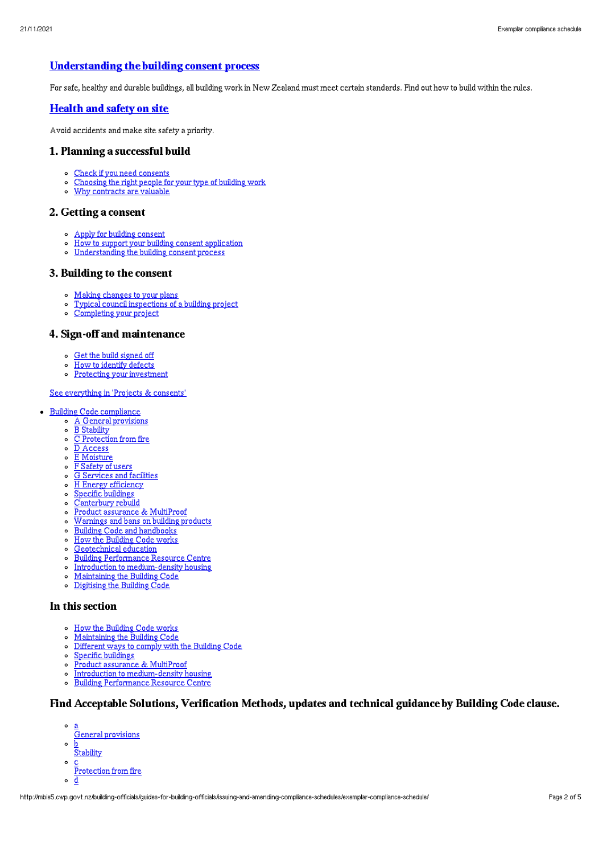### [Understanding](http://mbie5.cwp.govt.nz/projects-and-consents/apply-for-building-consent/building-consent-process/) the building consent process

For safe, healthy and durable buildings, all building work in New Zealand must meet certain standards. Find out how to build within the rules.

#### [Health](http://mbie5.cwp.govt.nz/projects-and-consents/health-and-safety-on-site/) and safety on site

Avoid accidents and make site safety a priority.

#### 1. Planning a successful build

- Check if you need [consents](http://mbie5.cwp.govt.nz/projects-and-consents/planning-a-successful-build/scope-and-design/check-if-you-need-consents/)
- [Choosing](http://mbie5.cwp.govt.nz/projects-and-consents/planning-a-successful-build/scope-and-design/choosing-the-right-people-for-your-type-of-building-work/) the right people for your type of building work
- Why [contracts](http://mbie5.cwp.govt.nz/projects-and-consents/why-contracts-are-valuable/) are valuable

#### 2. Getting a consent

- Apply for building [consent](http://mbie5.cwp.govt.nz/projects-and-consents/apply-for-building-consent/)
- How to support your building consent [application](http://mbie5.cwp.govt.nz/projects-and-consents/apply-for-building-consent/support-your-consent-application/)  $\sim$
- o [Understanding](http://mbie5.cwp.govt.nz/projects-and-consents/apply-for-building-consent/building-consent-process/) the building consent process

#### 3. Building to the consent

- Making [changes](http://mbie5.cwp.govt.nz/projects-and-consents/build-to-the-consent/making-changes-to-your-plans/) to your plans
- o Typical council [inspections](http://mbie5.cwp.govt.nz/projects-and-consents/build-to-the-consent/typical-council-inspections/) of a building project
- [Completing](http://mbie5.cwp.govt.nz/projects-and-consents/sign-off-and-maintenance/completing-your-project/) your project

### 4. Sign-off and maintenance

- Get the build [signed](http://mbie5.cwp.govt.nz/projects-and-consents/sign-off-and-maintenance/completing-your-project/get-the-build-signed-off/) off
- How to [identify](http://mbie5.cwp.govt.nz/projects-and-consents/sign-off-and-maintenance/completing-your-project/how-to-identify-defects/) defects
- o Protecting your [investment](http://mbie5.cwp.govt.nz/projects-and-consents/sign-off-and-maintenance/protecting-your-investment/)

#### See [everything](http://mbie5.cwp.govt.nz/projects-and-consents/) in 'Projects & consents'

- · Building Code [compliance](http://mbie5.cwp.govt.nz/building-code-compliance/)
	- A General [provisions](http://mbie5.cwp.govt.nz/building-code-compliance/a-general-provisions/)
	- o B [Stability](http://mbie5.cwp.govt.nz/building-code-compliance/b-stability/)
	- $\circ$   $\overline{C}$  [Protection](http://mbie5.cwp.govt.nz/building-code-compliance/c-protection-from-fire/) from fire
	- $\circ$   $\overline{D}$  [Access](http://mbie5.cwp.govt.nz/building-code-compliance/d-access/)
	- o **E** [Moisture](http://mbie5.cwp.govt.nz/building-code-compliance/e-moisture/)
	- F [Safety](http://mbie5.cwp.govt.nz/building-code-compliance/f-safety-of-users/) of users G [Services](http://mbie5.cwp.govt.nz/building-code-compliance/g-services-and-facilities/) and facilities
	- o H Energy [efficiency](http://mbie5.cwp.govt.nz/building-code-compliance/h-energy-efficiency/)
	- Specific [buildings](http://mbie5.cwp.govt.nz/building-code-compliance/specific-buildings/)
	- o [Canterbury](http://mbie5.cwp.govt.nz/building-code-compliance/canterbury-rebuild/) rebuild
	- Product assurance & [MultiProof](http://mbie5.cwp.govt.nz/building-code-compliance/product-assurance-and-multiproof/)  $\circ$
	- [Warnings](http://mbie5.cwp.govt.nz/building-code-compliance/warnings-and-bans-on-building-products/) and bans on building products
	- o Building Code and [handbooks](http://mbie5.cwp.govt.nz/building-code-compliance/building-code-and-handbooks/)
	- o How the [Building](http://mbie5.cwp.govt.nz/building-code-compliance/how-the-building-code-works/) Code works
	- **[Geotechnical](http://mbie5.cwp.govt.nz/building-code-compliance/geotechnical-education/) education**
	- Building [Performance](http://mbie5.cwp.govt.nz/building-code-compliance/building-performance-resource-centre/) Resource Centre
	-
	- o Introduction to [medium-density](http://mbie5.cwp.govt.nz/building-code-compliance/introduction-to-medium-density-housing/) housing
	- [Maintaining](http://mbie5.cwp.govt.nz/building-code-compliance/annual-building-code-updates/) the Building Code
	- [Digitising](http://mbie5.cwp.govt.nz/building-code-compliance/digitising-the-building-code/) the Building Code

#### In this section

- o How the [Building](http://mbie5.cwp.govt.nz/building-code-compliance/how-the-building-code-works/) Code works
- [Maintaining](http://mbie5.cwp.govt.nz/building-code-compliance/annual-building-code-updates/) the Building Code  $\circ$
- $\circ$ [Different](http://mbie5.cwp.govt.nz/building-code-compliance/how-the-building-code-works/different-ways-to-comply/) ways to comply with the Building Code
- Specific [buildings](http://mbie5.cwp.govt.nz/building-code-compliance/specific-buildings/)  $\circ$
- Product assurance & [MultiProof](http://mbie5.cwp.govt.nz/building-code-compliance/product-assurance-and-multiproof/)
- $\circ$ Introduction to [medium-density](http://mbie5.cwp.govt.nz/building-code-compliance/introduction-to-medium-density-housing/) housing
- Building [Performance](http://mbie5.cwp.govt.nz/building-code-compliance/building-performance-resource-centre/) Resource Centre  $\circ$

# Find Acceptable Solutions, Verification Methods, updates and technical guidance by Building Code clause.

- a
- General provisions  $\circ$ b
- **Stability**
- $\circ$ c
- Protection from fire
- $\circ$ d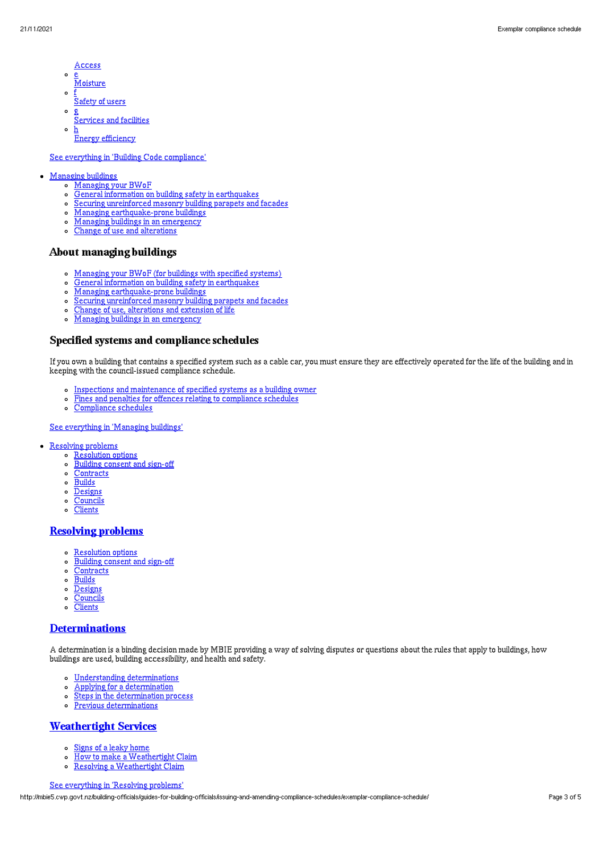- Access
- $\circ$ <u>e</u><br>Moisture
- $\sim$ f
- Safety of users  $\circ$ g
- Services and facilities
- $\circ$ h **Energy efficiency**

#### See everything in 'Building Code [compliance](http://mbie5.cwp.govt.nz/building-code-compliance/)'

#### [Managing](http://mbie5.cwp.govt.nz/managing-buildings/) buildings

- [Managing](http://mbie5.cwp.govt.nz/managing-buildings/managing-your-bwof/) your BWoF
	- General information on building safety in [earthquakes](http://mbie5.cwp.govt.nz/managing-buildings/building-safety-in-earthquakes/)
	- Securing [unreinforced](http://mbie5.cwp.govt.nz/managing-buildings/unreinforced-masonry/) masonry building parapets and facades
	- Managing [earthquake-prone](http://mbie5.cwp.govt.nz/managing-buildings/managing-earthquake-prone-buildings/) buildings
	- Managing buildings in an [emergency](http://mbie5.cwp.govt.nz/managing-buildings/managing-buildings-in-an-emergency/)  $\circ$
	- Change of use and [alterations](http://mbie5.cwp.govt.nz/managing-buildings/change-of-use-and-alterations/)

#### About managing buildings

- [Managing](http://mbie5.cwp.govt.nz/managing-buildings/managing-your-bwof/) your BWoF (for buildings with specified systems)
- General information on building safety in [earthquakes](http://mbie5.cwp.govt.nz/managing-buildings/building-safety-in-earthquakes/)  $\circ$
- Managing [earthquake-prone](http://mbie5.cwp.govt.nz/managing-buildings/managing-earthquake-prone-buildings/) buildings
- Securing [unreinforced](http://mbie5.cwp.govt.nz/managing-buildings/unreinforced-masonry/) masonry building parapets and facades  $\circ$
- Change of use, [alterations](http://mbie5.cwp.govt.nz/managing-buildings/change-of-use-and-alterations/) and extension of life
- Managing buildings in an [emergency](http://mbie5.cwp.govt.nz/managing-buildings/managing-buildings-in-an-emergency/)  $\sim$

#### Specified systems and compliance schedules

If you own a building that contains a specified system such as a cable car, you must ensure they are effectively operated for the life of the building and in keeping with the council-issued compliance schedule.

- o Inspections and [maintenance](http://mbie5.cwp.govt.nz/managing-buildings/managing-your-bwof/inspections-and-maintenance/) of specified systems as a building owner
- Fines and penalties for offences relating to [compliance](http://mbie5.cwp.govt.nz/managing-buildings/managing-your-bwof/fines-and-penalties/) schedules  $\circ$
- [Compliance](http://mbie5.cwp.govt.nz/projects-and-consents/sign-off-and-maintenance/completing-your-project/compliance-schedules/) schedules  $\Omega$

See [everything](http://mbie5.cwp.govt.nz/managing-buildings/) in 'Managing buildings'

- [Resolving](http://mbie5.cwp.govt.nz/resolving-problems/) problems
	- o [Resolution](http://mbie5.cwp.govt.nz/resolving-problems/resolution-options/) options
	- $\circ$ [Building](http://mbie5.cwp.govt.nz/resolving-problems/building-consent-and-sign-off/) consent and sign-off
	- [Contracts](http://mbie5.cwp.govt.nz/resolving-problems/contracts/)
	- $\circ$  [Builds](http://mbie5.cwp.govt.nz/resolving-problems/builds/)
	- $\circ$ [Designs](http://mbie5.cwp.govt.nz/resolving-problems/designs/)
	- **[Councils](http://mbie5.cwp.govt.nz/resolving-problems/councils/)**  $\circ$
	- $\circ$ **[Clients](http://mbie5.cwp.govt.nz/resolving-problems/clients/)**

### [Resolving](http://mbie5.cwp.govt.nz/resolving-problems/) problems

- [Resolution](http://mbie5.cwp.govt.nz/resolving-problems/resolution-options/) options
- [Building](http://mbie5.cwp.govt.nz/resolving-problems/building-consent-and-sign-off/) consent and sign-off
- [Contracts](http://mbie5.cwp.govt.nz/resolving-problems/contracts/)
- $\circ$ **[Builds](http://mbie5.cwp.govt.nz/resolving-problems/builds/)**
- o [Designs](http://mbie5.cwp.govt.nz/resolving-problems/designs/)
- [Councils](http://mbie5.cwp.govt.nz/resolving-problems/councils/)
- **[Clients](http://mbie5.cwp.govt.nz/resolving-problems/clients/)**  $\circ$

#### **[Determinations](http://mbie5.cwp.govt.nz/resolving-problems/resolution-options/determinations/)**

A determination is a binding decision made by MBIE providing a way of solving disputes or questions about the rules that apply to buildings, how buildings are used, building accessibility, and health and safety.

- Understanding [determinations](http://mbie5.cwp.govt.nz/resolving-problems/resolution-options/determinations/)
- Applying for a [determination](http://mbie5.cwp.govt.nz/resolving-problems/resolution-options/determinations/applying-for-a-determination/)  $\circ$
- Steps in the [determination](http://mbie5.cwp.govt.nz/resolving-problems/resolution-options/determinations/steps-in-the-determination-process/) process  $\circ$
- Previous [determinations](http://mbie5.cwp.govt.nz/resolving-problems/resolution-options/determinations/determinations-issued/)  $\circ$

# [Weathertight](http://mbie5.cwp.govt.nz/resolving-problems/resolution-options/weathertight-services/) Services

- Signs of a leaky [home](http://mbie5.cwp.govt.nz/resolving-problems/resolution-options/weathertight-services/signs-of-a-leaky-home/)  $\circ$
- How to make a [Weathertight](http://mbie5.cwp.govt.nz/resolving-problems/resolution-options/weathertight-services/make-a-weathertight-home-claim/) Claim  $\circ$
- Resolving a [Weathertight](http://mbie5.cwp.govt.nz/resolving-problems/resolution-options/weathertight-services/resolving-a-claim/) Claim  $\circ$

#### See [everything](http://mbie5.cwp.govt.nz/resolving-problems/) in 'Resolving problems'

http://mbie5.cwp.govt.nz/building-officials/guides-for-building-officials/issuing-and-amending-compliance-schedules/exemplar-compliance-schedule/ Page 3 of 5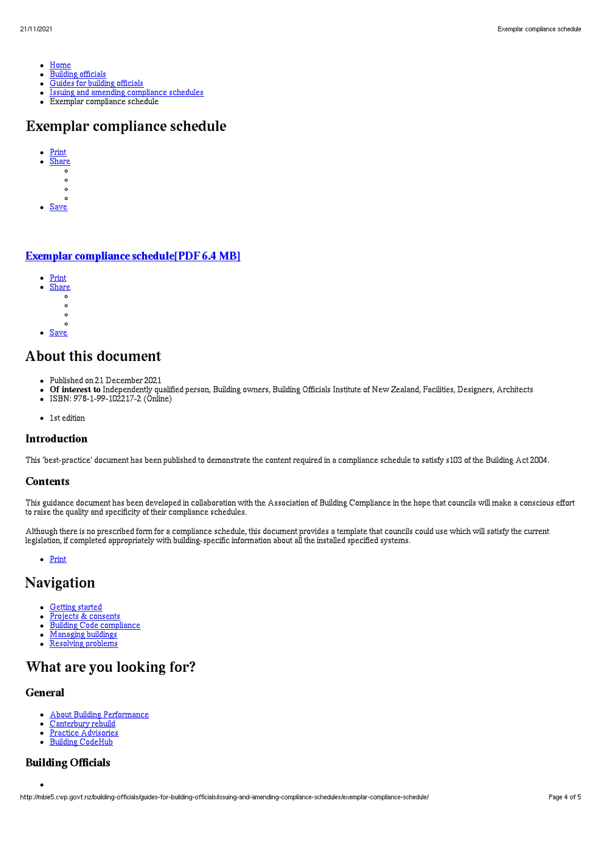- $\bullet$ [Home](http://mbie5.cwp.govt.nz/)
- [Building](http://mbie5.cwp.govt.nz/building-officials/) officials  $\bullet$
- Guides for [building](http://mbie5.cwp.govt.nz/building-officials/guides-for-building-officials/) officials  $\bullet$
- Issuing and amending [compliance](http://mbie5.cwp.govt.nz/building-officials/guides-for-building-officials/issuing-and-amending-compliance-schedules/) schedules  $\bullet$
- $\bullet$ Exemplar compliance schedule

# Exemplar compliance schedule

- [Print](http://mbie5.cwp.govt.nz/#)  $\ddot{\phantom{0}}$ 
	- [Share](http://mbie5.cwp.govt.nz/#)<br>o
	- $\circ$
	- $\circ$  $\sim$
- [Save](http://mbie5.cwp.govt.nz/building-officials/guides-for-building-officials/issuing-and-amending-compliance-schedules/exemplar-compliance-schedule/downloadpdf)

# Exemplar compliance [schedule\[PDF](http://mbie5.cwp.govt.nz/assets/Uploads/building-officials/guides/exemplar-compliance-schedule.pdf) 6.4 MB]

- [Print](http://mbie5.cwp.govt.nz/#)
	- [Share](http://mbie5.cwp.govt.nz/#)<br>。
	- $\circ$
	- $\circ$
	- $\sim$
- [Save](http://mbie5.cwp.govt.nz/building-officials/guides-for-building-officials/issuing-and-amending-compliance-schedules/exemplar-compliance-schedule/downloadpdf)

# About this document

- Published on 21 December 2021
- Of interest to Independently qualified person, Building owners, Building Officials Institute of New Zealand, Facilities, Designers, Architects
- ISBN: 978-1-99-102217-2 (Online)
- 1st edition

#### Introduction

This 'best-practice' document has been published to demonstrate the content required in a compliance schedule to satisfy s103 of the Building Act 2004.

#### **Contents**

This guidance document has been developed in collaboration with the Association of Building Compliance in the hope that councils will make a conscious effort to raise the quality and specificity of their compliance schedules.

Although there is no prescribed form for a compliance schedule, this document provides a template that councils could use which will satisfy the current legislation, if completed appropriately with building-specific information about all the installed specified systems.

[Print](http://mbie5.cwp.govt.nz/#)

# Navigation

- [Getting](http://mbie5.cwp.govt.nz/getting-started/) started  $\bullet$
- Projects & [consents](http://mbie5.cwp.govt.nz/projects-and-consents/)  $\bullet$
- Building Code [compliance](http://mbie5.cwp.govt.nz/building-code-compliance/)  $\bullet$
- [Managing](http://mbie5.cwp.govt.nz/managing-buildings/) buildings
- [Resolving](http://mbie5.cwp.govt.nz/resolving-problems/) problems  $\bullet$

# What are you looking for?

### General

- About Building [Performance](http://mbie5.cwp.govt.nz/about-building-performance/)  $\bullet$
- [Canterbury](http://mbie5.cwp.govt.nz/building-code-compliance/canterbury-rebuild/) rebuild  $\bullet$ Practice [Advisories](http://mbie5.cwp.govt.nz/search/?keyword=practice+advisory&search=)  $\bullet$
- Building [CodeHub](https://codehub.building.govt.nz)  $\bullet$

### Building Officials

http://mbie5.cwp.govt.nz/building-officials/guides-for-building-officials/issuing-and-amending-compliance-schedules/exemplar-compliance-schedule/ Page 4 of 5